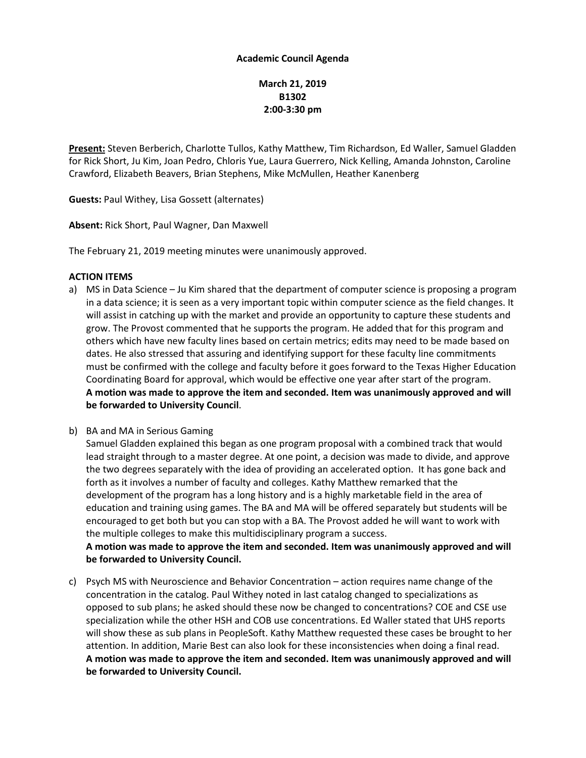### **Academic Council Agenda**

# **March 21, 2019 B1302 2:00-3:30 pm**

**Present:** Steven Berberich, Charlotte Tullos, Kathy Matthew, Tim Richardson, Ed Waller, Samuel Gladden for Rick Short, Ju Kim, Joan Pedro, Chloris Yue, Laura Guerrero, Nick Kelling, Amanda Johnston, Caroline Crawford, Elizabeth Beavers, Brian Stephens, Mike McMullen, Heather Kanenberg

**Guests:** Paul Withey, Lisa Gossett (alternates)

**Absent:** Rick Short, Paul Wagner, Dan Maxwell

The February 21, 2019 meeting minutes were unanimously approved.

### **ACTION ITEMS**

- a) MS in Data Science Ju Kim shared that the department of computer science is proposing a program in a data science; it is seen as a very important topic within computer science as the field changes. It will assist in catching up with the market and provide an opportunity to capture these students and grow. The Provost commented that he supports the program. He added that for this program and others which have new faculty lines based on certain metrics; edits may need to be made based on dates. He also stressed that assuring and identifying support for these faculty line commitments must be confirmed with the college and faculty before it goes forward to the Texas Higher Education Coordinating Board for approval, which would be effective one year after start of the program. **A motion was made to approve the item and seconded. Item was unanimously approved and will be forwarded to University Council**.
- b) BA and MA in Serious Gaming

Samuel Gladden explained this began as one program proposal with a combined track that would lead straight through to a master degree. At one point, a decision was made to divide, and approve the two degrees separately with the idea of providing an accelerated option. It has gone back and forth as it involves a number of faculty and colleges. Kathy Matthew remarked that the development of the program has a long history and is a highly marketable field in the area of education and training using games. The BA and MA will be offered separately but students will be encouraged to get both but you can stop with a BA. The Provost added he will want to work with the multiple colleges to make this multidisciplinary program a success.

**A motion was made to approve the item and seconded. Item was unanimously approved and will be forwarded to University Council.**

c) Psych MS with Neuroscience and Behavior Concentration – action requires name change of the concentration in the catalog. Paul Withey noted in last catalog changed to specializations as opposed to sub plans; he asked should these now be changed to concentrations? COE and CSE use specialization while the other HSH and COB use concentrations. Ed Waller stated that UHS reports will show these as sub plans in PeopleSoft. Kathy Matthew requested these cases be brought to her attention. In addition, Marie Best can also look for these inconsistencies when doing a final read. **A motion was made to approve the item and seconded. Item was unanimously approved and will be forwarded to University Council.**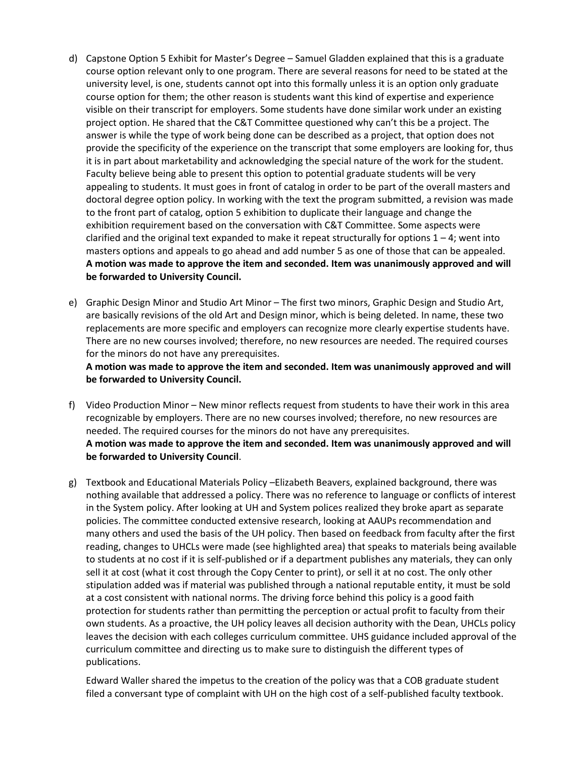- d) Capstone Option 5 Exhibit for Master's Degree Samuel Gladden explained that this is a graduate course option relevant only to one program. There are several reasons for need to be stated at the university level, is one, students cannot opt into this formally unless it is an option only graduate course option for them; the other reason is students want this kind of expertise and experience visible on their transcript for employers. Some students have done similar work under an existing project option. He shared that the C&T Committee questioned why can't this be a project. The answer is while the type of work being done can be described as a project, that option does not provide the specificity of the experience on the transcript that some employers are looking for, thus it is in part about marketability and acknowledging the special nature of the work for the student. Faculty believe being able to present this option to potential graduate students will be very appealing to students. It must goes in front of catalog in order to be part of the overall masters and doctoral degree option policy. In working with the text the program submitted, a revision was made to the front part of catalog, option 5 exhibition to duplicate their language and change the exhibition requirement based on the conversation with C&T Committee. Some aspects were clarified and the original text expanded to make it repeat structurally for options  $1 - 4$ ; went into masters options and appeals to go ahead and add number 5 as one of those that can be appealed. **A motion was made to approve the item and seconded. Item was unanimously approved and will be forwarded to University Council.**
- e) Graphic Design Minor and Studio Art Minor The first two minors, Graphic Design and Studio Art, are basically revisions of the old Art and Design minor, which is being deleted. In name, these two replacements are more specific and employers can recognize more clearly expertise students have. There are no new courses involved; therefore, no new resources are needed. The required courses for the minors do not have any prerequisites.

**A motion was made to approve the item and seconded. Item was unanimously approved and will be forwarded to University Council.**

- f) Video Production Minor New minor reflects request from students to have their work in this area recognizable by employers. There are no new courses involved; therefore, no new resources are needed. The required courses for the minors do not have any prerequisites. **A motion was made to approve the item and seconded. Item was unanimously approved and will be forwarded to University Council**.
- g) Textbook and Educational Materials Policy –Elizabeth Beavers, explained background, there was nothing available that addressed a policy. There was no reference to language or conflicts of interest in the System policy. After looking at UH and System polices realized they broke apart as separate policies. The committee conducted extensive research, looking at AAUPs recommendation and many others and used the basis of the UH policy. Then based on feedback from faculty after the first reading, changes to UHCLs were made (see highlighted area) that speaks to materials being available to students at no cost if it is self-published or if a department publishes any materials, they can only sell it at cost (what it cost through the Copy Center to print), or sell it at no cost. The only other stipulation added was if material was published through a national reputable entity, it must be sold at a cost consistent with national norms. The driving force behind this policy is a good faith protection for students rather than permitting the perception or actual profit to faculty from their own students. As a proactive, the UH policy leaves all decision authority with the Dean, UHCLs policy leaves the decision with each colleges curriculum committee. UHS guidance included approval of the curriculum committee and directing us to make sure to distinguish the different types of publications.

Edward Waller shared the impetus to the creation of the policy was that a COB graduate student filed a conversant type of complaint with UH on the high cost of a self-published faculty textbook.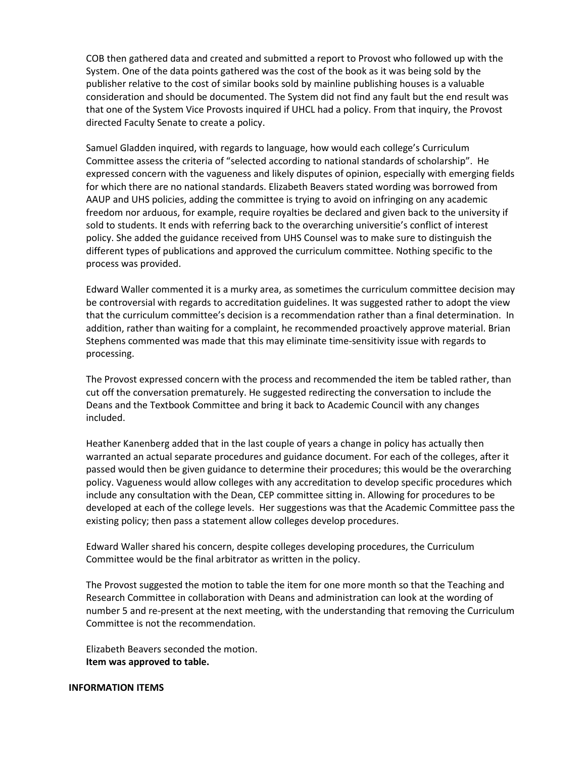COB then gathered data and created and submitted a report to Provost who followed up with the System. One of the data points gathered was the cost of the book as it was being sold by the publisher relative to the cost of similar books sold by mainline publishing houses is a valuable consideration and should be documented. The System did not find any fault but the end result was that one of the System Vice Provosts inquired if UHCL had a policy. From that inquiry, the Provost directed Faculty Senate to create a policy.

Samuel Gladden inquired, with regards to language, how would each college's Curriculum Committee assess the criteria of "selected according to national standards of scholarship". He expressed concern with the vagueness and likely disputes of opinion, especially with emerging fields for which there are no national standards. Elizabeth Beavers stated wording was borrowed from AAUP and UHS policies, adding the committee is trying to avoid on infringing on any academic freedom nor arduous, for example, require royalties be declared and given back to the university if sold to students. It ends with referring back to the overarching universitie's conflict of interest policy. She added the guidance received from UHS Counsel was to make sure to distinguish the different types of publications and approved the curriculum committee. Nothing specific to the process was provided.

Edward Waller commented it is a murky area, as sometimes the curriculum committee decision may be controversial with regards to accreditation guidelines. It was suggested rather to adopt the view that the curriculum committee's decision is a recommendation rather than a final determination. In addition, rather than waiting for a complaint, he recommended proactively approve material. Brian Stephens commented was made that this may eliminate time-sensitivity issue with regards to processing.

The Provost expressed concern with the process and recommended the item be tabled rather, than cut off the conversation prematurely. He suggested redirecting the conversation to include the Deans and the Textbook Committee and bring it back to Academic Council with any changes included.

Heather Kanenberg added that in the last couple of years a change in policy has actually then warranted an actual separate procedures and guidance document. For each of the colleges, after it passed would then be given guidance to determine their procedures; this would be the overarching policy. Vagueness would allow colleges with any accreditation to develop specific procedures which include any consultation with the Dean, CEP committee sitting in. Allowing for procedures to be developed at each of the college levels. Her suggestions was that the Academic Committee pass the existing policy; then pass a statement allow colleges develop procedures.

Edward Waller shared his concern, despite colleges developing procedures, the Curriculum Committee would be the final arbitrator as written in the policy.

The Provost suggested the motion to table the item for one more month so that the Teaching and Research Committee in collaboration with Deans and administration can look at the wording of number 5 and re-present at the next meeting, with the understanding that removing the Curriculum Committee is not the recommendation.

Elizabeth Beavers seconded the motion. **Item was approved to table.**

#### **INFORMATION ITEMS**